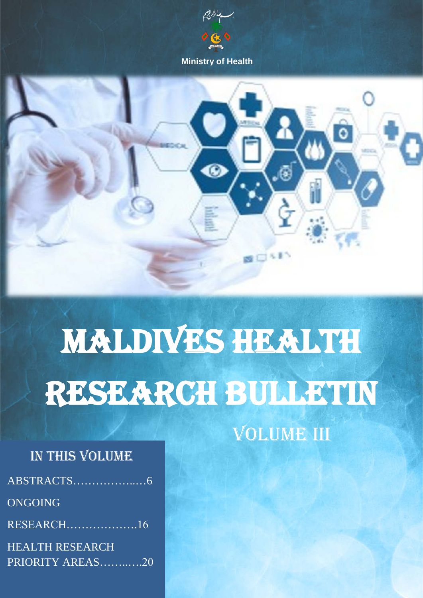

 **Ministry of Health**



# MALDIVES HEALTH RESEARCH BULLETIN

VOLUME III

# IN THIS VOLUME

- ABSTRACTS……………..…6
- ONGOING
- RESEARCH……………….16

HEALTH RESEARCH PRIORITY AREAS……..….20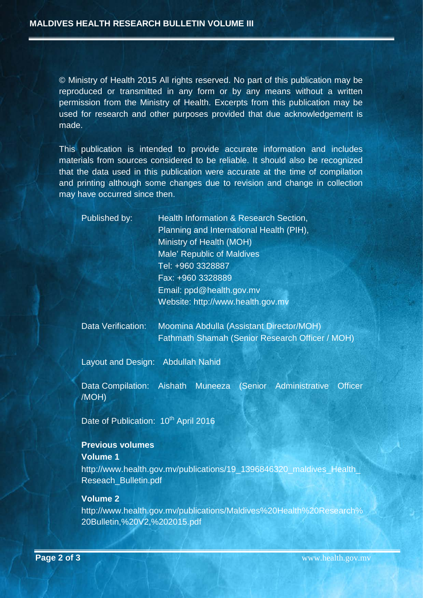© Ministry of Health 2015 All rights reserved. No part of this publication may be reproduced or transmitted in any form or by any means without a written permission from the Ministry of Health. Excerpts from this publication may be used for research and other purposes provided that due acknowledgement is made.

This publication is intended to provide accurate information and includes materials from sources considered to be reliable. It should also be recognized that the data used in this publication were accurate at the time of compilation and printing although some changes due to revision and change in collection may have occurred since then.

|                                                                                              | Published by:                              | Health Information & Research Section,<br>Planning and International Health (PIH),<br>Ministry of Health (MOH)<br>Male' Republic of Maldives<br>Tel: +960 3328887<br>Fax: +960 3328889<br>Email: ppd@health.gov.mv |  |  |  |  |
|----------------------------------------------------------------------------------------------|--------------------------------------------|--------------------------------------------------------------------------------------------------------------------------------------------------------------------------------------------------------------------|--|--|--|--|
|                                                                                              |                                            | Website: http://www.health.gov.mv                                                                                                                                                                                  |  |  |  |  |
|                                                                                              | <b>Data Verification:</b>                  | Moomina Abdulla (Assistant Director/MOH)<br>Fathmath Shamah (Senior Research Officer / MOH)                                                                                                                        |  |  |  |  |
|                                                                                              | Layout and Design: Abdullah Nahid          |                                                                                                                                                                                                                    |  |  |  |  |
|                                                                                              | Data Compilation:<br>/MOH)                 | Aishath<br>Muneeza (Senior Administrative<br><b>Officer</b>                                                                                                                                                        |  |  |  |  |
| Date of Publication: 10 <sup>th</sup> April 2016                                             |                                            |                                                                                                                                                                                                                    |  |  |  |  |
|                                                                                              | <b>Previous volumes</b><br><b>Volume 1</b> |                                                                                                                                                                                                                    |  |  |  |  |
| http://www.health.gov.mv/publications/19_1396846320_maldives_Health_<br>Reseach_Bulletin.pdf |                                            |                                                                                                                                                                                                                    |  |  |  |  |
|                                                                                              | <b>Volume 2</b>                            | http://www.health.gov.mv/publications/Maldives%20Health%20Research%                                                                                                                                                |  |  |  |  |

[20Bulletin,%20V2,%202015.pdf](http://www.health.gov.mv/publications/Maldives%20Health%20Research%20Bulletin,%20V2,%202015.pdf)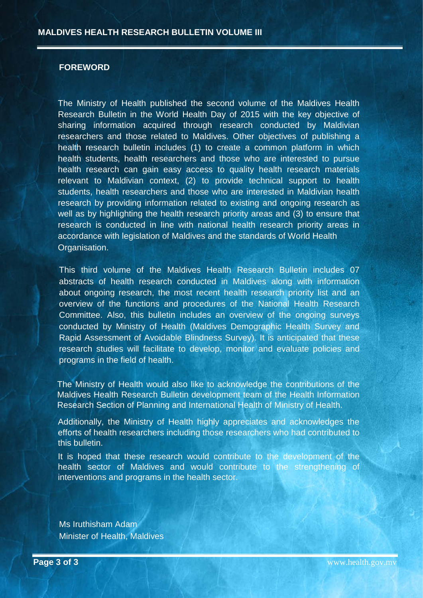#### <span id="page-2-0"></span>**FOREWORD**

The Ministry of Health published the second volume of the Maldives Health Research Bulletin in the World Health Day of 2015 with the key objective of sharing information acquired through research conducted by Maldivian researchers and those related to Maldives. Other objectives of publishing a health research bulletin includes (1) to create a common platform in which health students, health researchers and those who are interested to pursue health research can gain easy access to quality health research materials relevant to Maldivian context, (2) to provide technical support to health students, health researchers and those who are interested in Maldivian health research by providing information related to existing and ongoing research as well as by highlighting the health research priority areas and (3) to ensure that research is conducted in line with national health research priority areas in accordance with legislation of Maldives and the standards of World Health Organisation.

This third volume of the Maldives Health Research Bulletin includes 07 abstracts of health research conducted in Maldives along with information about ongoing research, the most recent health research priority list and an overview of the functions and procedures of the National Health Research Committee. Also, this bulletin includes an overview of the ongoing surveys conducted by Ministry of Health (Maldives Demographic Health Survey and Rapid Assessment of Avoidable Blindness Survey). It is anticipated that these research studies will facilitate to develop, monitor and evaluate policies and programs in the field of health.

The Ministry of Health would also like to acknowledge the contributions of the Maldives Health Research Bulletin development team of the Health Information Research Section of Planning and International Health of Ministry of Health.

Additionally, the Ministry of Health highly appreciates and acknowledges the efforts of health researchers including those researchers who had contributed to this bulletin.

It is hoped that these research would contribute to the development of the health sector of Maldives and would contribute to the strengthening of interventions and programs in the health sector.

Ms Iruthisham Adam Minister of Health, Maldives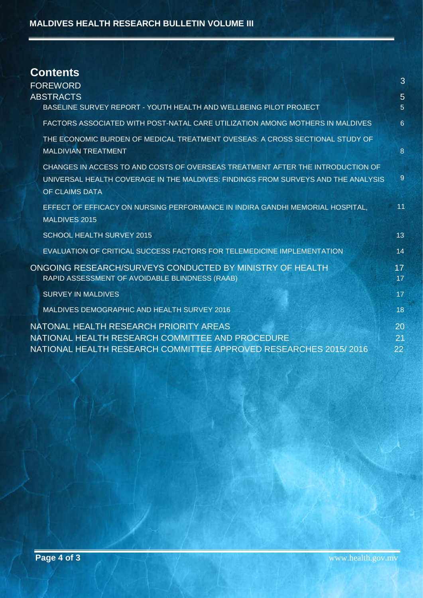| <b>Contents</b>                                                                                                                                                                       | 3                   |  |  |
|---------------------------------------------------------------------------------------------------------------------------------------------------------------------------------------|---------------------|--|--|
| <b>FOREWORD</b>                                                                                                                                                                       |                     |  |  |
| <b>ABSTRACTS</b><br>BASELINE SURVEY REPORT - YOUTH HEALTH AND WELLBEING PILOT PROJECT                                                                                                 | $5\phantom{.}$<br>5 |  |  |
| FACTORS ASSOCIATED WITH POST-NATAL CARE UTILIZATION AMONG MOTHERS IN MALDIVES                                                                                                         | 6                   |  |  |
| THE ECONOMIC BURDEN OF MEDICAL TREATMENT OVESEAS: A CROSS SECTIONAL STUDY OF<br><b>MALDIVIAN TREATMENT</b>                                                                            | 8                   |  |  |
| CHANGES IN ACCESS TO AND COSTS OF OVERSEAS TREATMENT AFTER THE INTRODUCTION OF<br>UNIVERSAL HEALTH COVERAGE IN THE MALDIVES: FINDINGS FROM SURVEYS AND THE ANALYSIS<br>OF CLAIMS DATA | $\overline{9}$      |  |  |
| EFFECT OF EFFICACY ON NURSING PERFORMANCE IN INDIRA GANDHI MEMORIAL HOSPITAL,<br><b>MALDIVES 2015</b>                                                                                 | 11                  |  |  |
| <b>SCHOOL HEALTH SURVEY 2015</b>                                                                                                                                                      | 13                  |  |  |
| EVALUATION OF CRITICAL SUCCESS FACTORS FOR TELEMEDICINE IMPLEMENTATION                                                                                                                | 14                  |  |  |
| ONGOING RESEARCH/SURVEYS CONDUCTED BY MINISTRY OF HEALTH<br>RAPID ASSESSMENT OF AVOIDABLE BLINDNESS (RAAB)                                                                            | 17<br>17            |  |  |
| <b>SURVEY IN MALDIVES</b>                                                                                                                                                             | 17                  |  |  |
| MALDIVES DEMOGRAPHIC AND HEALTH SURVEY 2016                                                                                                                                           | 18                  |  |  |
| NATONAL HEALTH RESEARCH PRIORITY AREAS<br>NATIONAL HEALTH RESEARCH COMMITTEE AND PROCEDURE<br>NATIONAL HEALTH RESEARCH COMMITTEE APPROVED RESEARCHES 2015/2016                        | 20<br>21<br>22      |  |  |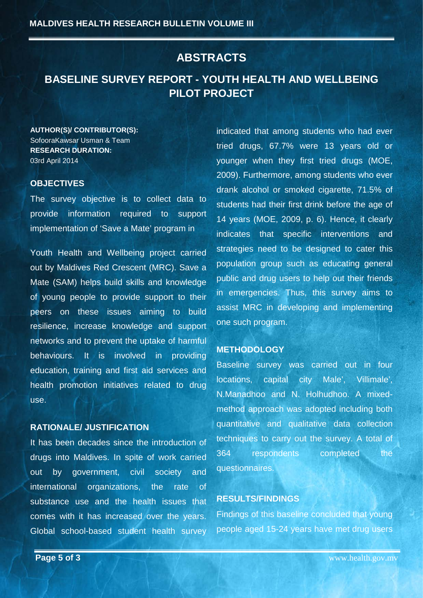## **ABSTRACTS**

# <span id="page-4-1"></span><span id="page-4-0"></span>**BASELINE SURVEY REPORT - YOUTH HEALTH AND WELLBEING PILOT PROJECT**

**AUTHOR(S)/ CONTRIBUTOR(S):** SofooraKawsar Usman & Team **RESEARCH DURATION:** 03rd April 2014

#### **OBJECTIVES**

The survey objective is to collect data to provide information required to support implementation of 'Save a Mate' program in

Youth Health and Wellbeing project carried out by Maldives Red Crescent (MRC). Save a Mate (SAM) helps build skills and knowledge of young people to provide support to their peers on these issues aiming to build resilience, increase knowledge and support networks and to prevent the uptake of harmful behaviours. It is involved in providing education, training and first aid services and health promotion initiatives related to drug use.

#### **RATIONALE/ JUSTIFICATION**

It has been decades since the introduction of drugs into Maldives. In spite of work carried out by government, civil society and international organizations, the rate of substance use and the health issues that comes with it has increased over the years. Global school-based student health survey indicated that among students who had ever tried drugs, 67.7% were 13 years old or younger when they first tried drugs (MOE, 2009). Furthermore, among students who ever drank alcohol or smoked cigarette, 71.5% of students had their first drink before the age of 14 years (MOE, 2009, p. 6). Hence, it clearly indicates that specific interventions and strategies need to be designed to cater this population group such as educating general public and drug users to help out their friends in emergencies. Thus, this survey aims to assist MRC in developing and implementing one such program.

#### **METHODOLOGY**

Baseline survey was carried out in four locations, capital city Male', Villimale', N.Manadhoo and N. Holhudhoo. A mixedmethod approach was adopted including both quantitative and qualitative data collection techniques to carry out the survey. A total of 364 respondents completed the questionnaires.

#### **RESULTS/FINDINGS**

Findings of this baseline concluded that young people aged 15-24 years have met drug users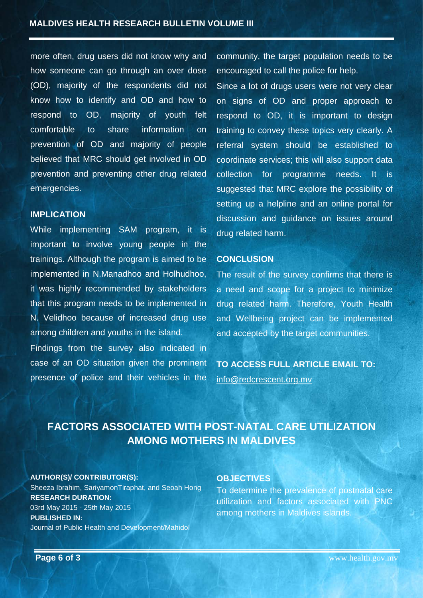more often, drug users did not know why and how someone can go through an over dose (OD), majority of the respondents did not know how to identify and OD and how to respond to OD, majority of youth felt comfortable to share information on prevention of OD and majority of people believed that MRC should get involved in OD prevention and preventing other drug related emergencies.

#### **IMPLICATION**

While implementing SAM program, it is important to involve young people in the trainings. Although the program is aimed to be implemented in N.Manadhoo and Holhudhoo, it was highly recommended by stakeholders that this program needs to be implemented in N. Velidhoo because of increased drug use among children and youths in the island.

Findings from the survey also indicated in case of an OD situation given the prominent presence of police and their vehicles in the

community, the target population needs to be encouraged to call the police for help.

Since a lot of drugs users were not very clear on signs of OD and proper approach to respond to OD, it is important to design training to convey these topics very clearly. A referral system should be established to coordinate services; this will also support data collection for programme needs. It is suggested that MRC explore the possibility of setting up a helpline and an online portal for discussion and guidance on issues around drug related harm.

#### **CONCLUSION**

The result of the survey confirms that there is a need and scope for a project to minimize drug related harm. Therefore, Youth Health and Wellbeing project can be implemented and accepted by the target communities.

**TO ACCESS FULL ARTICLE EMAIL TO:** [info@redcrescent.org.mv](mailto:info@redcrescent.org.mv)

# <span id="page-5-0"></span>**FACTORS ASSOCIATED WITH POST-NATAL CARE UTILIZATION AMONG MOTHERS IN MALDIVES**

#### **AUTHOR(S)/ CONTRIBUTOR(S):**

Sheeza Ibrahim, SariyamonTiraphat, and Seoah Hong **RESEARCH DURATION:** 03rd May 2015 - 25th May 2015 **PUBLISHED IN:** Journal of Public Health and Development/Mahidol

#### **OBJECTIVES**

To determine the prevalence of postnatal care utilization and factors associated with PNC among mothers in Maldives islands.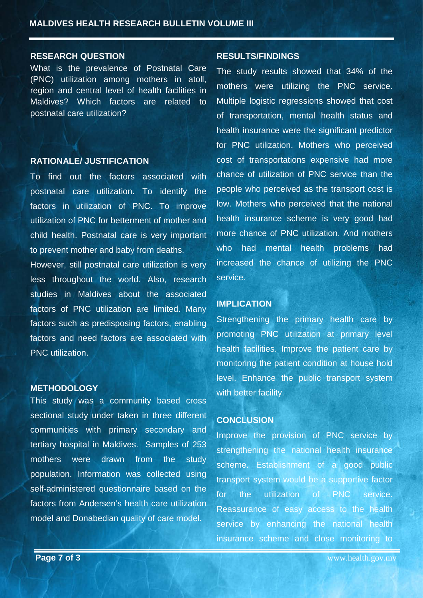#### **RESEARCH QUESTION**

What is the prevalence of Postnatal Care (PNC) utilization among mothers in atoll, region and central level of health facilities in Maldives? Which factors are related to postnatal care utilization?

#### **RATIONALE/ JUSTIFICATION**

To find out the factors associated with postnatal care utilization. To identify the factors in utilization of PNC. To improve utilization of PNC for betterment of mother and child health. Postnatal care is very important to prevent mother and baby from deaths.

However, still postnatal care utilization is very less throughout the world. Also, research studies in Maldives about the associated factors of PNC utilization are limited. Many factors such as predisposing factors, enabling factors and need factors are associated with PNC utilization.

#### **METHODOLOGY**

This study was a community based cross sectional study under taken in three different communities with primary secondary and tertiary hospital in Maldives. Samples of 253 mothers were drawn from the study population. Information was collected using self-administered questionnaire based on the factors from Andersen's health care utilization model and Donabedian quality of care model.

#### **RESULTS/FINDINGS**

The study results showed that 34% of the mothers were utilizing the PNC service. Multiple logistic regressions showed that cost of transportation, mental health status and health insurance were the significant predictor for PNC utilization. Mothers who perceived cost of transportations expensive had more chance of utilization of PNC service than the people who perceived as the transport cost is low. Mothers who perceived that the national health insurance scheme is very good had more chance of PNC utilization. And mothers who had mental health problems had increased the chance of utilizing the PNC service.

#### **IMPLICATION**

Strengthening the primary health care by promoting PNC utilization at primary level health facilities. Improve the patient care by monitoring the patient condition at house hold level. Enhance the public transport system with better facility.

#### **CONCLUSION**

Improve the provision of PNC service by strengthening the national health insurance scheme. Establishment of a good public transport system would be a supportive factor for the utilization of PNC service. Reassurance of easy access to the health service by enhancing the national health insurance scheme and close monitoring to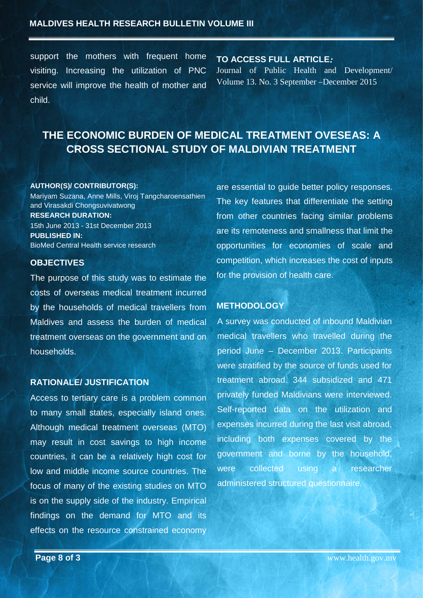#### **MALDIVES HEALTH RESEARCH BULLETIN VOLUME III**

support the mothers with frequent home visiting. Increasing the utilization of PNC service will improve the health of mother and child.

**TO ACCESS FULL ARTICLE***:* Journal of Public Health and Development/ Volume 13. No. 3 September –December 2015

# <span id="page-7-0"></span>**THE ECONOMIC BURDEN OF MEDICAL TREATMENT OVESEAS: A CROSS SECTIONAL STUDY OF MALDIVIAN TREATMENT**

#### **AUTHOR(S)/ CONTRIBUTOR(S):**

Mariyam Suzana, Anne Mills, Viroj Tangcharoensathien and Virasakdi Chongsuvivatwong **RESEARCH DURATION:** 15th June 2013 - 31st December 2013 **PUBLISHED IN:** BioMed Central Health service research

#### **OBJECTIVES**

The purpose of this study was to estimate the costs of overseas medical treatment incurred by the households of medical travellers from Maldives and assess the burden of medical treatment overseas on the government and on households.

#### **RATIONALE/ JUSTIFICATION**

Access to tertiary care is a problem common to many small states, especially island ones. Although medical treatment overseas (MTO) may result in cost savings to high income countries, it can be a relatively high cost for low and middle income source countries. The focus of many of the existing studies on MTO is on the supply side of the industry. Empirical findings on the demand for MTO and its effects on the resource constrained economy

are essential to guide better policy responses. The key features that differentiate the setting from other countries facing similar problems are its remoteness and smallness that limit the opportunities for economies of scale and competition, which increases the cost of inputs for the provision of health care.

#### **METHODOLOGY**

A survey was conducted of inbound Maldivian medical travellers who travelled during the period June – December 2013. Participants were stratified by the source of funds used for treatment abroad. 344 subsidized and 471 privately funded Maldivians were interviewed. Self-reported data on the utilization and expenses incurred during the last visit abroad, including both expenses covered by the government and borne by the household, were collected using a researcher administered structured questionnaire.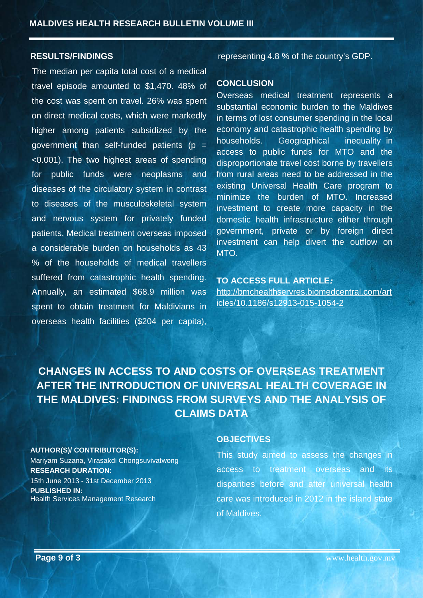#### **RESULTS/FINDINGS**

The median per capita total cost of a medical travel episode amounted to \$1,470. 48% of the cost was spent on travel. 26% was spent on direct medical costs, which were markedly higher among patients subsidized by the government than self-funded patients ( $p =$ <0.001). The two highest areas of spending for public funds were neoplasms and diseases of the circulatory system in contrast to diseases of the musculoskeletal system and nervous system for privately funded patients. Medical treatment overseas imposed a considerable burden on households as 43 % of the households of medical travellers suffered from catastrophic health spending. Annually, an estimated \$68.9 million was spent to obtain treatment for Maldivians in overseas health facilities (\$204 per capita),

representing 4.8 % of the country's GDP.

#### **CONCLUSION**

Overseas medical treatment represents a substantial economic burden to the Maldives in terms of lost consumer spending in the local economy and catastrophic health spending by households. Geographical inequality in access to public funds for MTO and the disproportionate travel cost borne by travellers from rural areas need to be addressed in the existing Universal Health Care program to minimize the burden of MTO. Increased investment to create more capacity in the domestic health infrastructure either through government, private or by foreign direct investment can help divert the outflow on MTO.

#### **TO ACCESS FULL ARTICLE***:* [http://bmchealthservres.biomedcentral.com/art](http://bmchealthservres.biomedcentral.com/articles/10.1186/s12913-015-1054-2) [icles/10.1186/s12913-015-1054-2](http://bmchealthservres.biomedcentral.com/articles/10.1186/s12913-015-1054-2)

<span id="page-8-0"></span>**CHANGES IN ACCESS TO AND COSTS OF OVERSEAS TREATMENT AFTER THE INTRODUCTION OF UNIVERSAL HEALTH COVERAGE IN THE MALDIVES: FINDINGS FROM SURVEYS AND THE ANALYSIS OF CLAIMS DATA**

#### **AUTHOR(S)/ CONTRIBUTOR(S):**

Mariyam Suzana, Virasakdi Chongsuvivatwong **RESEARCH DURATION:** 15th June 2013 - 31st December 2013 **PUBLISHED IN:** Health Services Management Research

#### **OBJECTIVES**

This study aimed to assess the changes in access to treatment overseas and its disparities before and after universal health care was introduced in 2012 in the island state of Maldives.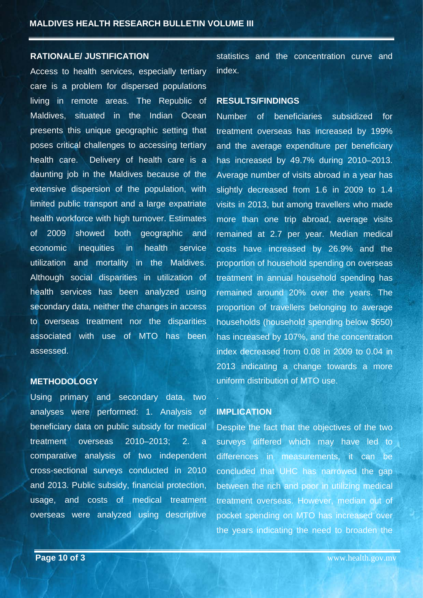#### **RATIONALE/ JUSTIFICATION**

Access to health services, especially tertiary care is a problem for dispersed populations living in remote areas. The Republic of Maldives, situated in the Indian Ocean presents this unique geographic setting that poses critical challenges to accessing tertiary health care. Delivery of health care is a daunting job in the Maldives because of the extensive dispersion of the population, with limited public transport and a large expatriate health workforce with high turnover. Estimates of 2009 showed both geographic and economic inequities in health service utilization and mortality in the Maldives. Although social disparities in utilization of health services has been analyzed using secondary data, neither the changes in access to overseas treatment nor the disparities associated with use of MTO has been assessed.

#### **METHODOLOGY**

Using primary and secondary data, two analyses were performed: 1. Analysis of beneficiary data on public subsidy for medical treatment overseas 2010–2013; 2. a comparative analysis of two independent cross-sectional surveys conducted in 2010 and 2013. Public subsidy, financial protection, usage, and costs of medical treatment overseas were analyzed using descriptive

statistics and the concentration curve and index.

#### **RESULTS/FINDINGS**

Number of beneficiaries subsidized for treatment overseas has increased by 199% and the average expenditure per beneficiary has increased by 49.7% during 2010–2013. Average number of visits abroad in a year has slightly decreased from 1.6 in 2009 to 1.4 visits in 2013, but among travellers who made more than one trip abroad, average visits remained at 2.7 per year. Median medical costs have increased by 26.9% and the proportion of household spending on overseas treatment in annual household spending has remained around 20% over the years. The proportion of travellers belonging to average households (household spending below \$650) has increased by 107%, and the concentration index decreased from 0.08 in 2009 to 0.04 in 2013 indicating a change towards a more uniform distribution of MTO use.

#### **IMPLICATION**

Despite the fact that the objectives of the two surveys differed which may have led to differences in measurements, it can be concluded that UHC has narrowed the gap between the rich and poor in utilizing medical treatment overseas. However, median out of pocket spending on MTO has increased over the years indicating the need to broaden the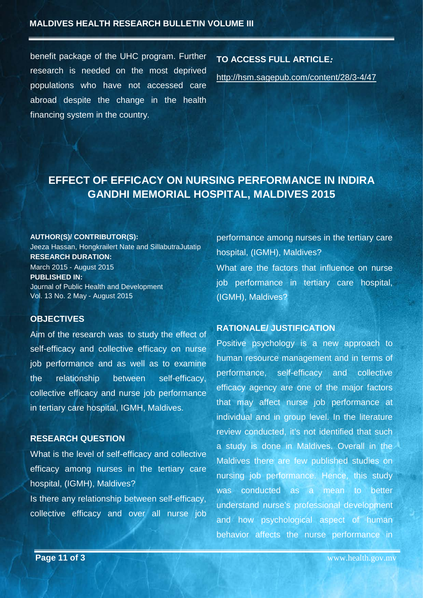benefit package of the UHC program. Further research is needed on the most deprived populations who have not accessed care abroad despite the change in the health financing system in the country.

#### **TO ACCESS FULL ARTICLE***:*

<http://hsm.sagepub.com/content/28/3-4/47>

# <span id="page-10-0"></span>**EFFECT OF EFFICACY ON NURSING PERFORMANCE IN INDIRA GANDHI MEMORIAL HOSPITAL, MALDIVES 2015**

#### **AUTHOR(S)/ CONTRIBUTOR(S):**

Jeeza Hassan, Hongkrailert Nate and SillabutraJutatip **RESEARCH DURATION:** March 2015 - August 2015 **PUBLISHED IN:** Journal of Public Health and Development Vol. 13 No. 2 May - August 2015

#### **OBJECTIVES**

Aim of the research was to study the effect of self-efficacy and collective efficacy on nurse job performance and as well as to examine the relationship between self-efficacy, collective efficacy and nurse job performance in tertiary care hospital, IGMH, Maldives.

#### **RESEARCH QUESTION**

What is the level of self-efficacy and collective efficacy among nurses in the tertiary care hospital, (IGMH), Maldives?

Is there any relationship between self-efficacy, collective efficacy and over all nurse job performance among nurses in the tertiary care hospital, (IGMH), Maldives? What are the factors that influence on nurse job performance in tertiary care hospital, (IGMH), Maldives?

#### **RATIONALE/ JUSTIFICATION**

Positive psychology is a new approach to human resource management and in terms of performance, self-efficacy and collective efficacy agency are one of the major factors that may affect nurse job performance at individual and in group level. In the literature review conducted, it's not identified that such a study is done in Maldives. Overall in the Maldives there are few published studies on nursing job performance. Hence, this study was conducted as a mean to better understand nurse's professional development and how psychological aspect of human behavior affects the nurse performance in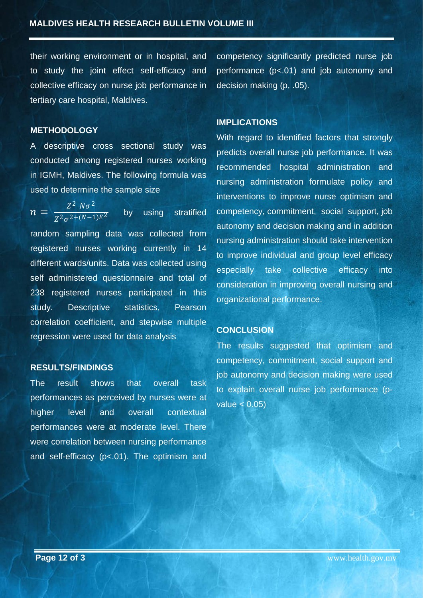their working environment or in hospital, and to study the joint effect self-efficacy and collective efficacy on nurse job performance in tertiary care hospital, Maldives.

#### **METHODOLOGY**

A descriptive cross sectional study was conducted among registered nurses working in IGMH, Maldives. The following formula was used to determine the sample size

 $n = \frac{Z^2 N \sigma^2}{Z^2 \sigma^{2 + (N-1)E^2}}$  by using stratified random sampling data was collected from registered nurses working currently in 14 different wards/units. Data was collected using self administered questionnaire and total of 238 registered nurses participated in this study. Descriptive statistics, Pearson correlation coefficient, and stepwise multiple regression were used for data analysis

#### **RESULTS/FINDINGS**

<span id="page-11-0"></span>The result shows that overall task performances as perceived by nurses were at higher level and overall contextual performances were at moderate level. There were correlation between nursing performance and self-efficacy (p<.01). The optimism and

competency significantly predicted nurse job performance (p<.01) and job autonomy and decision making (p, .05).

#### **IMPLICATIONS**

With regard to identified factors that strongly predicts overall nurse job performance. It was recommended hospital administration and nursing administration formulate policy and interventions to improve nurse optimism and competency, commitment, social support, job autonomy and decision making and in addition nursing administration should take intervention to improve individual and group level efficacy especially take collective efficacy into consideration in improving overall nursing and organizational performance.

#### **CONCLUSION**

The results suggested that optimism and competency, commitment, social support and job autonomy and decision making were used to explain overall nurse job performance (pvalue < 0.05)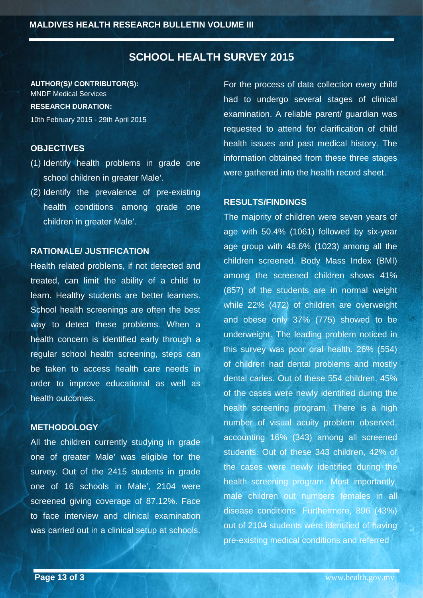### **SCHOOL HEALTH SURVEY 2015**

**AUTHOR(S)/ CONTRIBUTOR(S):** MNDF Medical Services **RESEARCH DURATION:** 10th February 2015 - 29th April 2015

#### **OBJECTIVES**

- (1) Identify health problems in grade one school children in greater Male'.
- (2) Identify the prevalence of pre-existing health conditions among grade one children in greater Male'.

#### **RATIONALE/ JUSTIFICATION**

Health related problems, if not detected and treated, can limit the ability of a child to learn. Healthy students are better learners. School health screenings are often the best way to detect these problems. When a health concern is identified early through a regular school health screening, steps can be taken to access health care needs in order to improve educational as well as health outcomes.

#### **METHODOLOGY**

All the children currently studying in grade one of greater Male' was eligible for the survey. Out of the 2415 students in grade one of 16 schools in Male', 2104 were screened giving coverage of 87.12%. Face to face interview and clinical examination was carried out in a clinical setup at schools.

For the process of data collection every child had to undergo several stages of clinical examination. A reliable parent/ guardian was requested to attend for clarification of child health issues and past medical history. The information obtained from these three stages were gathered into the health record sheet.

#### **RESULTS/FINDINGS**

The majority of children were seven years of age with 50.4% (1061) followed by six-year age group with 48.6% (1023) among all the children screened. Body Mass Index (BMI) among the screened children shows 41% (857) of the students are in normal weight while 22% (472) of children are overweight and obese only 37% (775) showed to be underweight. The leading problem noticed in this survey was poor oral health. 26% (554) of children had dental problems and mostly dental caries. Out of these 554 children, 45% of the cases were newly identified during the health screening program. There is a high number of visual acuity problem observed, accounting 16% (343) among all screened students. Out of these 343 children, 42% of the cases were newly identified during the health screening program. Most importantly, male children out numbers females in all disease conditions. Furthermore, 896 (43%) out of 2104 students were identified of having pre-existing medical conditions and referred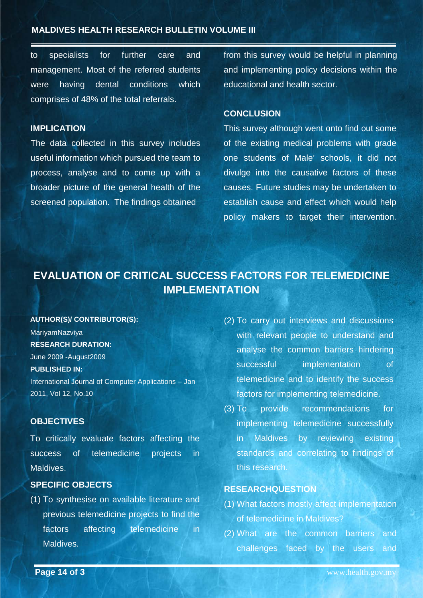#### **MALDIVES HEALTH RESEARCH BULLETIN VOLUME III**

to specialists for further care and management. Most of the referred students were having dental conditions which comprises of 48% of the total referrals.

#### **IMPLICATION**

The data collected in this survey includes useful information which pursued the team to process, analyse and to come up with a broader picture of the general health of the screened population. The findings obtained

from this survey would be helpful in planning and implementing policy decisions within the educational and health sector.

#### **CONCLUSION**

This survey although went onto find out some of the existing medical problems with grade one students of Male' schools, it did not divulge into the causative factors of these causes. Future studies may be undertaken to establish cause and effect which would help policy makers to target their intervention.

# <span id="page-13-0"></span>**EVALUATION OF CRITICAL SUCCESS FACTORS FOR TELEMEDICINE IMPLEMENTATION**

#### **AUTHOR(S)/ CONTRIBUTOR(S):**

MariyamNazviya **RESEARCH DURATION:** June 2009 -August2009 **PUBLISHED IN:** International Journal of Computer Applications – Jan 2011, Vol 12, No.10

#### **OBJECTIVES**

To critically evaluate factors affecting the success of telemedicine projects in Maldives.

#### **SPECIFIC OBJECTS**

(1) To synthesise on available literature and previous telemedicine projects to find the factors affecting telemedicine in Maldives.

- (2) To carry out interviews and discussions with relevant people to understand and analyse the common barriers hindering successful implementation of telemedicine and to identify the success factors for implementing telemedicine.
- (3) To provide recommendations for implementing telemedicine successfully in Maldives by reviewing existing standards and correlating to findings of this research.

#### **RESEARCHQUESTION**

- (1) What factors mostly affect implementation of telemedicine in Maldives?
- (2) What are the common barriers and challenges faced by the users and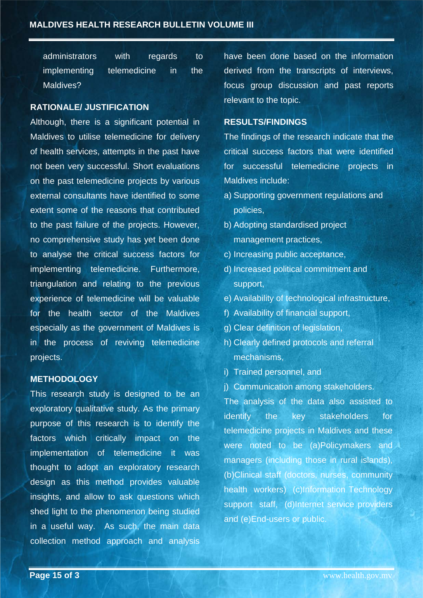| administrators | with         | regards      | to         |
|----------------|--------------|--------------|------------|
| implementing   | telemedicine | $\mathsf{I}$ | <b>The</b> |
| Maldives?      |              |              |            |

#### **RATIONALE/ JUSTIFICATION**

Although, there is a significant potential in Maldives to utilise telemedicine for delivery of health services, attempts in the past have not been very successful. Short evaluations on the past telemedicine projects by various external consultants have identified to some extent some of the reasons that contributed to the past failure of the projects. However, no comprehensive study has yet been done to analyse the critical success factors for implementing telemedicine. Furthermore, triangulation and relating to the previous experience of telemedicine will be valuable for the health sector of the Maldives especially as the government of Maldives is in the process of reviving telemedicine projects.

#### **METHODOLOGY**

This research study is designed to be an exploratory qualitative study. As the primary purpose of this research is to identify the factors which critically impact on the implementation of telemedicine it was thought to adopt an exploratory research design as this method provides valuable insights, and allow to ask questions which shed light to the phenomenon being studied in a useful way. As such, the main data collection method approach and analysis have been done based on the information derived from the transcripts of interviews, focus group discussion and past reports relevant to the topic.

#### **RESULTS/FINDINGS**

The findings of the research indicate that the critical success factors that were identified for successful telemedicine projects in Maldives include:

- a) Supporting government regulations and policies,
- b) Adopting standardised project management practices,
- c) Increasing public acceptance,
- d) Increased political commitment and support,
- e) Availability of technological infrastructure,
- f) Availability of financial support,
- g) Clear definition of legislation,
- h) Clearly defined protocols and referral mechanisms,
- i) Trained personnel, and
- j) Communication among stakeholders.

The analysis of the data also assisted to identify the key stakeholders for telemedicine projects in Maldives and these were noted to be (a)Policymakers and managers (including those in rural islands), (b)Clinical staff (doctors, nurses, community health workers) (c)Information Technology support staff, (d)Internet service providers and (e)End-users or public.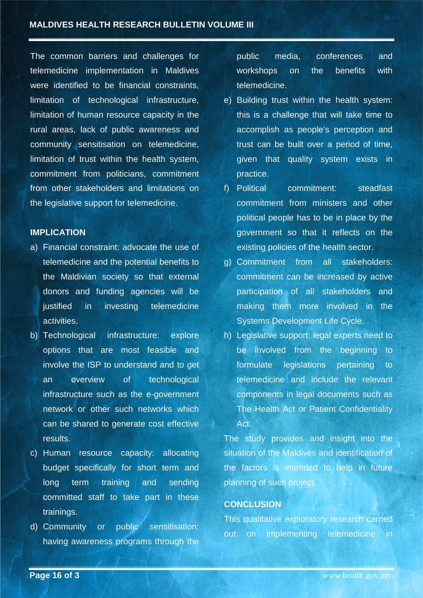The common barriers and challenges for telemedicine implementation in Maldives were identified to be financial constraints. limitation of technological infrastructure, limitation of human resource capacity in the rural areas, lack of public awareness and community sensitisation on telemedicine, limitation of trust within the health system, commitment from politicians, commitment from other stakeholders and limitations on the legislative support for telemedicine.

#### **IMPLICATION**

- a) Financial constraint: advocate the use of telemedicine and the potential benefits to the Maldivian society so that external donors and funding agencies will be justified in investing telemedicine activities.
- b) Technological infrastructure: explore options that are most feasible and involve the ISP to understand and to get an overview of technological infrastructure such as the e-government network or other such networks which can be shared to generate cost effective results.
- c) Human resource capacity: allocating budget specifically for short term and long term training and sending committed staff to take part in these trainings.
- d) Community or public sensitisation: having awareness programs through the

public media, conferences and workshops on the benefits with telemedicine.

- e) Building trust within the health system: this is a challenge that will take time to accomplish as people's perception and trust can be built over a period of time, given that quality system exists in practice.
- f) Political commitment: steadfast commitment from ministers and other political people has to be in place by the government so that it reflects on the existing policies of the health sector.
- g) Commitment from all stakeholders: commitment can be increased by active participation of all stakeholders and making them more involved in the Systems Development Life Cycle.
- h) Legislative support: legal experts need to be involved from the beginning to formulate legislations pertaining to telemedicine and include the relevant components in legal documents such as The Health Act or Patient Confidentiality Act

The study provides and insight into the situation of the Maldives and identification of the factors is intended to help in future planning of such project.

#### **CONCLUSION**

This qualitative exploratory research carried out on implementing telemedicine in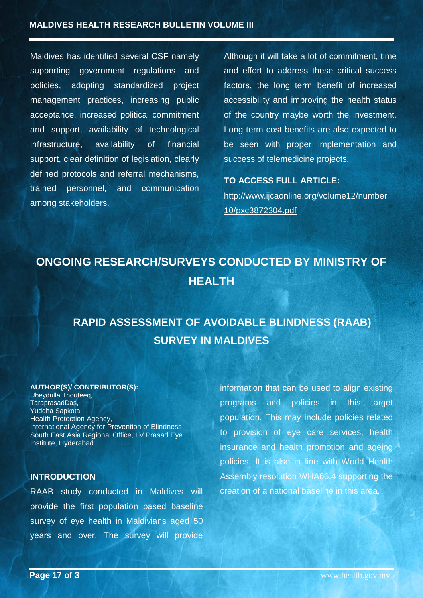Maldives has identified several CSF namely supporting government regulations and policies, adopting standardized project management practices, increasing public acceptance, increased political commitment and support, availability of technological infrastructure, availability of financial support, clear definition of legislation, clearly defined protocols and referral mechanisms, trained personnel, and communication among stakeholders.

Although it will take a lot of commitment, time and effort to address these critical success factors, the long term benefit of increased accessibility and improving the health status of the country maybe worth the investment. Long term cost benefits are also expected to be seen with proper implementation and success of telemedicine projects.

#### **TO ACCESS FULL ARTICLE:**

[http://www.ijcaonline.org/volume12/number](http://www.ijcaonline.org/volume12/number10/pxc3872304.pdf) [10/pxc3872304.pdf](http://www.ijcaonline.org/volume12/number10/pxc3872304.pdf)

# <span id="page-16-1"></span><span id="page-16-0"></span>**ONGOING RESEARCH/SURVEYS CONDUCTED BY MINISTRY OF HEALTH**

# <span id="page-16-3"></span><span id="page-16-2"></span>**RAPID ASSESSMENT OF AVOIDABLE BLINDNESS (RAAB) SURVEY IN MALDIVES**

#### **AUTHOR(S)/ CONTRIBUTOR(S):**

Ubeydulla Thoufeeq, TaraprasadDas, Yuddha Sapkota, Health Protection Agency, International Agency for Prevention of Blindness South East Asia Regional Office, LV Prasad Eye Institute, Hyderabad

#### **INTRODUCTION**

RAAB study conducted in Maldives will provide the first population based baseline survey of eye health in Maldivians aged 50 years and over. The survey will provide information that can be used to align existing programs and policies in this target population. This may include policies related to provision of eye care services, health insurance and health promotion and ageing policies. It is also in line with World Health Assembly resolution WHA66.4 supporting the creation of a national baseline in this area.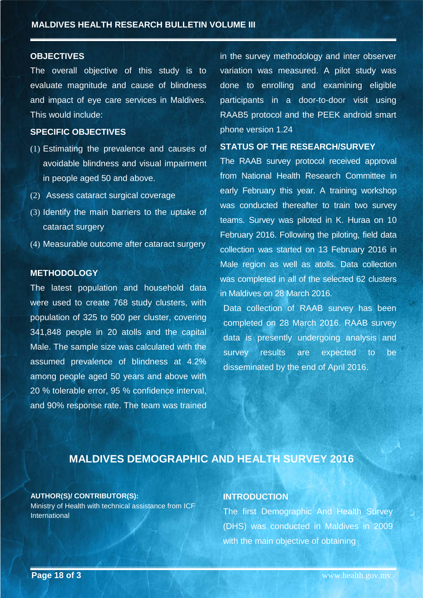#### **OBJECTIVES**

The overall objective of this study is to evaluate magnitude and cause of blindness and impact of eye care services in Maldives. This would include:

#### **SPECIFIC OBJECTIVES**

- (1) Estimating the prevalence and causes of avoidable blindness and visual impairment in people aged 50 and above.
- (2) Assess cataract surgical coverage
- (3) Identify the main barriers to the uptake of cataract surgery
- (4) Measurable outcome after cataract surgery

#### **METHODOLOGY**

The latest population and household data were used to create 768 study clusters, with population of 325 to 500 per cluster, covering 341,848 people in 20 atolls and the capital Male. The sample size was calculated with the assumed prevalence of blindness at 4.2% among people aged 50 years and above with 20 % tolerable error, 95 % confidence interval, and 90% response rate. The team was trained

in the survey methodology and inter observer variation was measured. A pilot study was done to enrolling and examining eligible participants in a door-to-door visit using RAAB5 protocol and the PEEK android smart phone version 1.24

#### **STATUS OF THE RESEARCH/SURVEY**

The RAAB survey protocol received approval from National Health Research Committee in early February this year. A training workshop was conducted thereafter to train two survey teams. Survey was piloted in K. Huraa on 10 February 2016. Following the piloting, field data collection was started on 13 February 2016 in Male region as well as atolls. Data collection was completed in all of the selected 62 clusters in Maldives on 28 March 2016.

Data collection of RAAB survey has been completed on 28 March 2016. RAAB survey data is presently undergoing analysis and survey results are expected to be disseminated by the end of April 2016.

## **MALDIVES DEMOGRAPHIC AND HEALTH SURVEY 2016**

#### <span id="page-17-0"></span>**AUTHOR(S)/ CONTRIBUTOR(S):**

Ministry of Health with technical assistance from ICF International

#### **INTRODUCTION**

The first Demographic And Health Survey (DHS) was conducted in Maldives in 2009 with the main objective of obtaining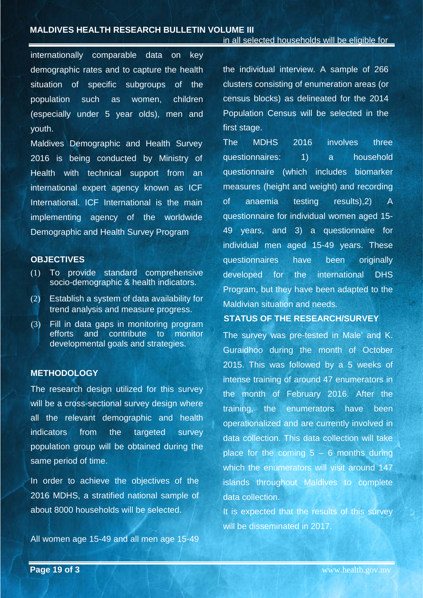internationally comparable data on key demographic rates and to capture the health situation of specific subgroups of the population such as women, children (especially under 5 year olds), men and youth.

Maldives Demographic and Health Survey 2016 is being conducted by Ministry of Health with technical support from an international expert agency known as ICF International. ICF International is the main implementing agency of the worldwide Demographic and Health Survey Program

#### **OBJECTIVES**

- (1) To provide standard comprehensive socio-demographic & health indicators.
- (2) Establish a system of data availability for trend analysis and measure progress.
- (3) Fill in data gaps in monitoring program efforts and contribute to monitor developmental goals and strategies.

#### **METHODOLOGY**

The research design utilized for this survey will be a cross-sectional survey design where all the relevant demographic and health indicators from the targeted survey population group will be obtained during the same period of time.

In order to achieve the objectives of the 2016 MDHS, a stratified national sample of about 8000 households will be selected.

All women age 15-49 and all men age 15-49

the individual interview. A sample of 266 clusters consisting of enumeration areas (or census blocks) as delineated for the 2014 Population Census will be selected in the first stage.

The MDHS 2016 involves three questionnaires: 1) a household questionnaire (which includes biomarker measures (height and weight) and recording of anaemia testing results),2) A questionnaire for individual women aged 15- 49 years, and 3) a questionnaire for individual men aged 15-49 years. These questionnaires have been originally developed for the international DHS Program, but they have been adapted to the Maldivian situation and needs*.* 

#### **STATUS OF THE RESEARCH/SURVEY**

The survey was pre-tested in Male' and K. Guraidhoo during the month of October 2015. This was followed by a 5 weeks of intense training of around 47 enumerators in the month of February 2016. After the training, the enumerators have been operationalized and are currently involved in data collection. This data collection will take place for the coming  $5 - 6$  months during which the enumerators will visit around 147 islands throughout Maldives to complete data collection.

It is expected that the results of this survey will be disseminated in 2017.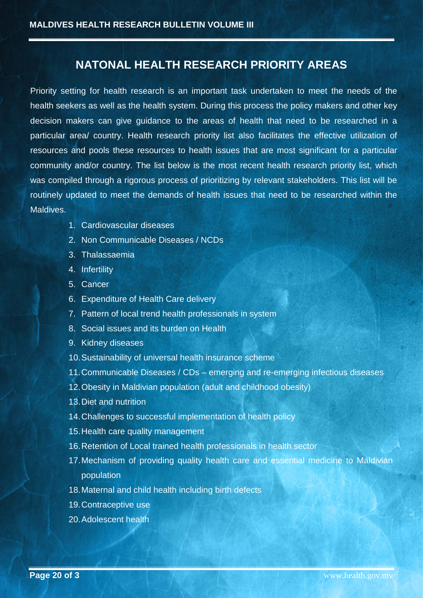## **NATONAL HEALTH RESEARCH PRIORITY AREAS**

<span id="page-19-0"></span>Priority setting for health research is an important task undertaken to meet the needs of the health seekers as well as the health system. During this process the policy makers and other key decision makers can give guidance to the areas of health that need to be researched in a particular area/ country. Health research priority list also facilitates the effective utilization of resources and pools these resources to health issues that are most significant for a particular community and/or country. The list below is the most recent health research priority list, which was compiled through a rigorous process of prioritizing by relevant stakeholders. This list will be routinely updated to meet the demands of health issues that need to be researched within the Maldives.

- 1. Cardiovascular diseases
- 2. Non Communicable Diseases / NCDs
- 3. Thalassaemia
- 4. Infertility
- 5. Cancer
- 6. Expenditure of Health Care delivery
- 7. Pattern of local trend health professionals in system
- 8. Social issues and its burden on Health
- 9. Kidney diseases
- 10. Sustainability of universal health insurance scheme
- 11. Communicable Diseases / CDs emerging and re-emerging infectious diseases
- 12. Obesity in Maldivian population (adult and childhood obesity)
- 13. Diet and nutrition
- 14. Challenges to successful implementation of health policy
- 15. Health care quality management
- 16. Retention of Local trained health professionals in health sector
- 17. Mechanism of providing quality health care and essential medicine to Maldivian population
- 18. Maternal and child health including birth defects
- 19. Contraceptive use
- 20. Adolescent health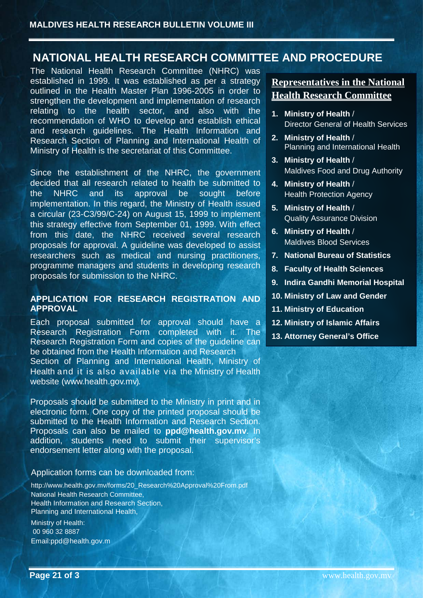# <span id="page-20-0"></span>**NATIONAL HEALTH RESEARCH COMMITTEE AND PROCEDURE**

The National Health Research Committee (NHRC) was established in 1999. It was established as per a strategy outlined in the Health Master Plan 1996-2005 in order to strengthen the development and implementation of research relating to the health sector, and also with the recommendation of WHO to develop and establish ethical and research guidelines. The Health Information and Research Section of Planning and International Health of Ministry of Health is the secretariat of this Committee.

Since the establishment of the NHRC, the government decided that all research related to health be submitted to the NHRC and its approval be sought before implementation. In this regard, the Ministry of Health issued a circular (23-C3/99/C-24) on August 15, 1999 to implement this strategy effective from September 01, 1999. With effect from this date, the NHRC received several research proposals for approval. A guideline was developed to assist researchers such as medical and nursing practitioners, programme managers and students in developing research proposals for submission to the NHRC.

#### **APPLICATION FOR RESEARCH REGISTRATION AND APPROVAL**

Each proposal submitted for approval should have a Research Registration Form completed with it. The Research Registration Form and copies of the guideline can be obtained from the Health Information and Research

Section of Planning and International Health, Ministry of Health and it is also available via the Ministry of Health website [\(www.health.gov.mv\).](http://www.health.gov.mv/)

Proposals should be submitted to the Ministry in print and in electronic form. One copy of the printed proposal should be submitted to the Health Information and Research Section. Proposals can also be mailed to **ppd@health.gov.mv**. In addition, students need to submit their supervisor's endorsement letter along with the proposal.

#### Application forms can be downloaded from:

http://www.health.gov.mv/forms/20\_Research%20Approval%20From.pdf National Health Research Committee, Health Information and Research Section, Planning and International Health,

Ministry of Health: 00 960 32 8887 Email:ppd@health.gov.m

## **Representatives in the National Health Research Committee**

- **1. Ministry of Health** / Director General of Health Services
- **2. Ministry of Health** / Planning and International Health
- **3. Ministry of Health** / Maldives Food and Drug Authority
- **4. Ministry of Health** / Health Protection Agency
- **5. Ministry of Health** / Quality Assurance Division
- **6. Ministry of Health** / Maldives Blood Services
- **7. National Bureau of Statistics**
- **8. Faculty of Health Sciences**
- **9. Indira Gandhi Memorial Hospital**
- **10. Ministry of Law and Gender**
- **11. Ministry of Education**
- **12. Ministry of Islamic Affairs**
- **13. Attorney General's Office**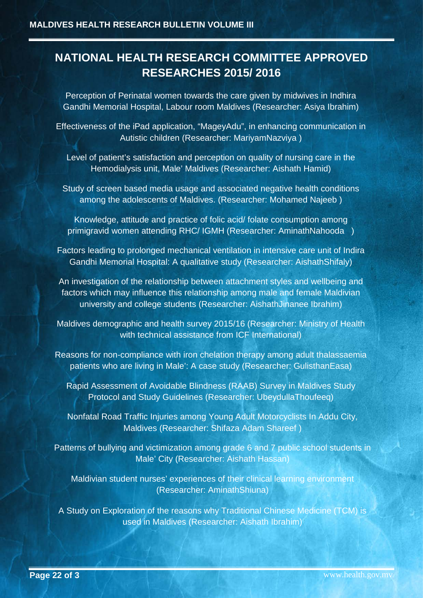# <span id="page-21-0"></span>**NATIONAL HEALTH RESEARCH COMMITTEE APPROVED RESEARCHES 2015/ 2016**

Perception of Perinatal women towards the care given by midwives in Indhira Gandhi Memorial Hospital, Labour room Maldives (Researcher: Asiya Ibrahim)

Effectiveness of the iPad application, "MageyAdu", in enhancing communication in Autistic children (Researcher: MariyamNazviya )

Level of patient's satisfaction and perception on quality of nursing care in the Hemodialysis unit, Male' Maldives (Researcher: Aishath Hamid)

Study of screen based media usage and associated negative health conditions among the adolescents of Maldives. (Researcher: Mohamed Najeeb )

Knowledge, attitude and practice of folic acid/ folate consumption among primigravid women attending RHC/ IGMH (Researcher: AminathNahooda )

Factors leading to prolonged mechanical ventilation in intensive care unit of Indira Gandhi Memorial Hospital: A qualitative study (Researcher: AishathShifaly)

An investigation of the relationship between attachment styles and wellbeing and factors which may influence this relationship among male and female Maldivian university and college students (Researcher: AishathJinanee Ibrahim)

Maldives demographic and health survey 2015/16 (Researcher: Ministry of Health with technical assistance from ICF International)

Reasons for non-compliance with iron chelation therapy among adult thalassaemia patients who are living in Male': A case study (Researcher: GulisthanEasa)

Rapid Assessment of Avoidable Blindness (RAAB) Survey in Maldives Study Protocol and Study Guidelines (Researcher: UbeydullaThoufeeq)

Nonfatal Road Traffic Injuries among Young Adult Motorcyclists In Addu City, Maldives (Researcher: Shifaza Adam Shareef )

Patterns of bullying and victimization among grade 6 and 7 public school students in Male' City (Researcher: Aishath Hassan)

Maldivian student nurses' experiences of their clinical learning environment (Researcher: AminathShiuna)

A Study on Exploration of the reasons why Traditional Chinese Medicine (TCM) is used in Maldives (Researcher: Aishath Ibrahim)